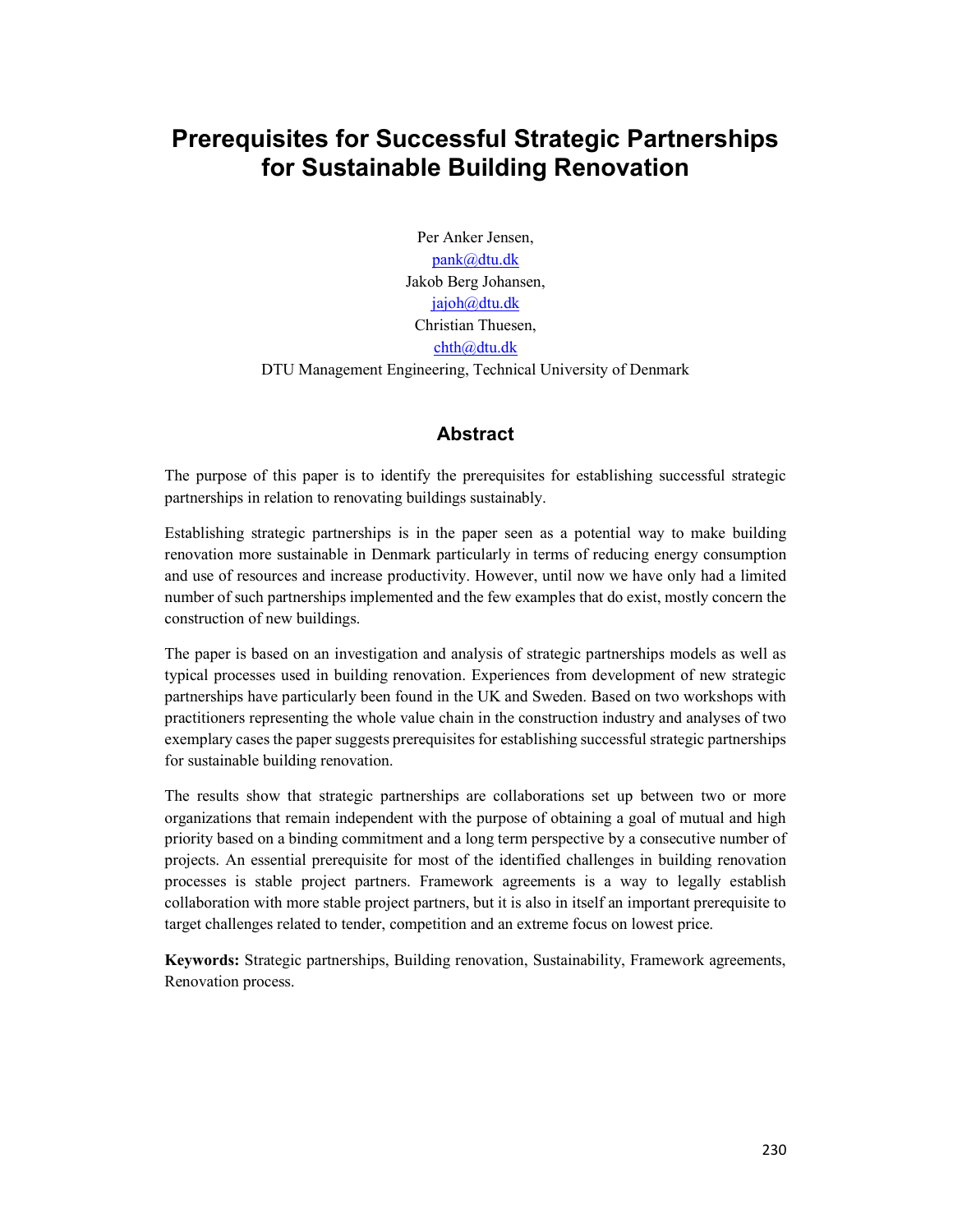# Prerequisites for Successful Strategic Partnerships for Sustainable Building Renovation

Per Anker Jensen, pank@dtu.dk Jakob Berg Johansen, jajoh@dtu.dk Christian Thuesen, chth@dtu.dk DTU Management Engineering, Technical University of Denmark

#### Abstract

The purpose of this paper is to identify the prerequisites for establishing successful strategic partnerships in relation to renovating buildings sustainably.

Establishing strategic partnerships is in the paper seen as a potential way to make building renovation more sustainable in Denmark particularly in terms of reducing energy consumption and use of resources and increase productivity. However, until now we have only had a limited number of such partnerships implemented and the few examples that do exist, mostly concern the construction of new buildings.

The paper is based on an investigation and analysis of strategic partnerships models as well as typical processes used in building renovation. Experiences from development of new strategic partnerships have particularly been found in the UK and Sweden. Based on two workshops with practitioners representing the whole value chain in the construction industry and analyses of two exemplary cases the paper suggests prerequisites for establishing successful strategic partnerships for sustainable building renovation.

The results show that strategic partnerships are collaborations set up between two or more organizations that remain independent with the purpose of obtaining a goal of mutual and high priority based on a binding commitment and a long term perspective by a consecutive number of projects. An essential prerequisite for most of the identified challenges in building renovation processes is stable project partners. Framework agreements is a way to legally establish collaboration with more stable project partners, but it is also in itself an important prerequisite to target challenges related to tender, competition and an extreme focus on lowest price.

Keywords: Strategic partnerships, Building renovation, Sustainability, Framework agreements, Renovation process.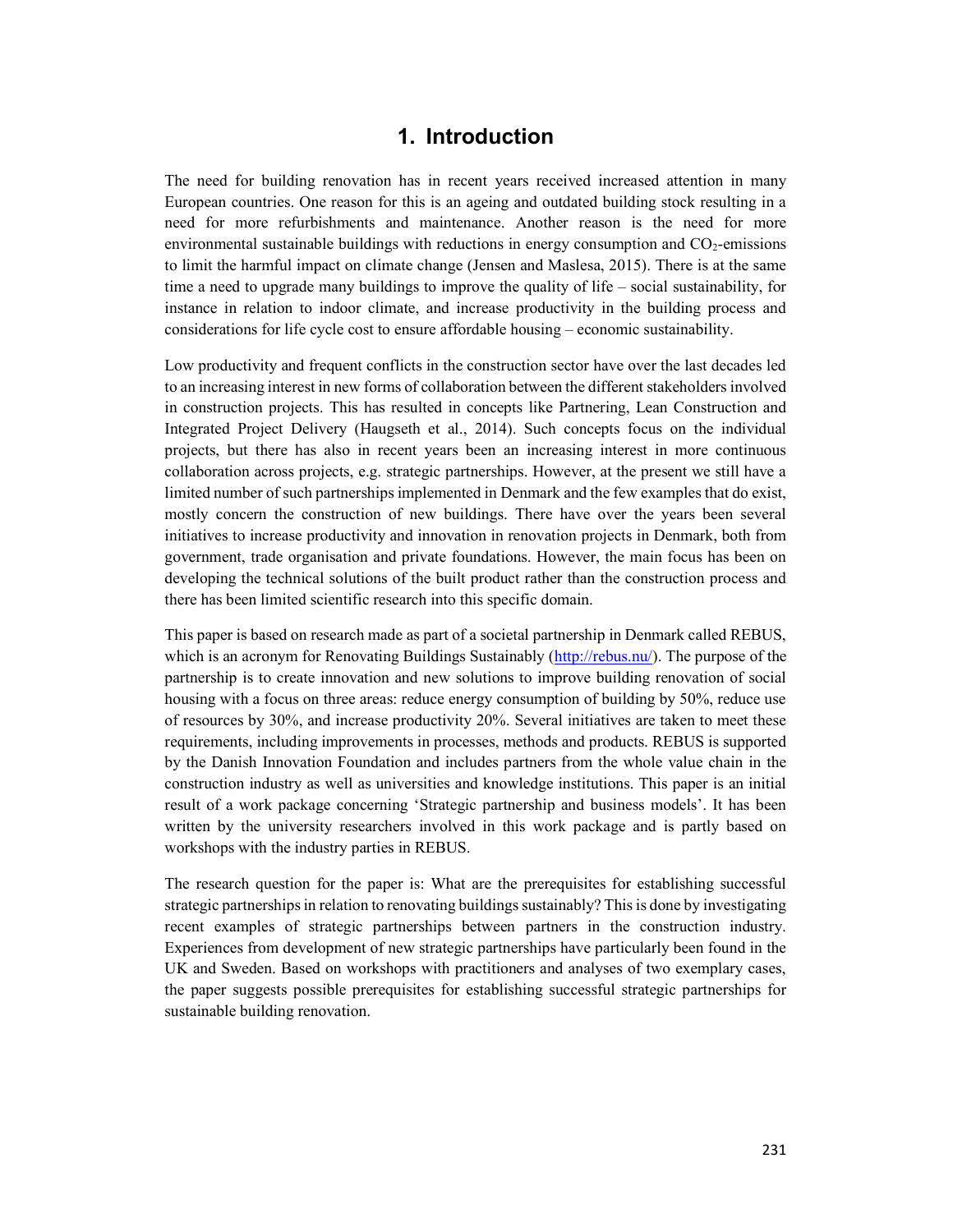### 1. Introduction

The need for building renovation has in recent years received increased attention in many European countries. One reason for this is an ageing and outdated building stock resulting in a need for more refurbishments and maintenance. Another reason is the need for more environmental sustainable buildings with reductions in energy consumption and  $CO<sub>2</sub>$ -emissions to limit the harmful impact on climate change (Jensen and Maslesa, 2015). There is at the same time a need to upgrade many buildings to improve the quality of life – social sustainability, for instance in relation to indoor climate, and increase productivity in the building process and considerations for life cycle cost to ensure affordable housing – economic sustainability.

Low productivity and frequent conflicts in the construction sector have over the last decades led to an increasing interest in new forms of collaboration between the different stakeholders involved in construction projects. This has resulted in concepts like Partnering, Lean Construction and Integrated Project Delivery (Haugseth et al., 2014). Such concepts focus on the individual projects, but there has also in recent years been an increasing interest in more continuous collaboration across projects, e.g. strategic partnerships. However, at the present we still have a limited number of such partnerships implemented in Denmark and the few examples that do exist, mostly concern the construction of new buildings. There have over the years been several initiatives to increase productivity and innovation in renovation projects in Denmark, both from government, trade organisation and private foundations. However, the main focus has been on developing the technical solutions of the built product rather than the construction process and there has been limited scientific research into this specific domain.

This paper is based on research made as part of a societal partnership in Denmark called REBUS, which is an acronym for Renovating Buildings Sustainably (http://rebus.nu/). The purpose of the partnership is to create innovation and new solutions to improve building renovation of social housing with a focus on three areas: reduce energy consumption of building by 50%, reduce use of resources by 30%, and increase productivity 20%. Several initiatives are taken to meet these requirements, including improvements in processes, methods and products. REBUS is supported by the Danish Innovation Foundation and includes partners from the whole value chain in the construction industry as well as universities and knowledge institutions. This paper is an initial result of a work package concerning 'Strategic partnership and business models'. It has been written by the university researchers involved in this work package and is partly based on workshops with the industry parties in REBUS.

The research question for the paper is: What are the prerequisites for establishing successful strategic partnerships in relation to renovating buildings sustainably? This is done by investigating recent examples of strategic partnerships between partners in the construction industry. Experiences from development of new strategic partnerships have particularly been found in the UK and Sweden. Based on workshops with practitioners and analyses of two exemplary cases, the paper suggests possible prerequisites for establishing successful strategic partnerships for sustainable building renovation.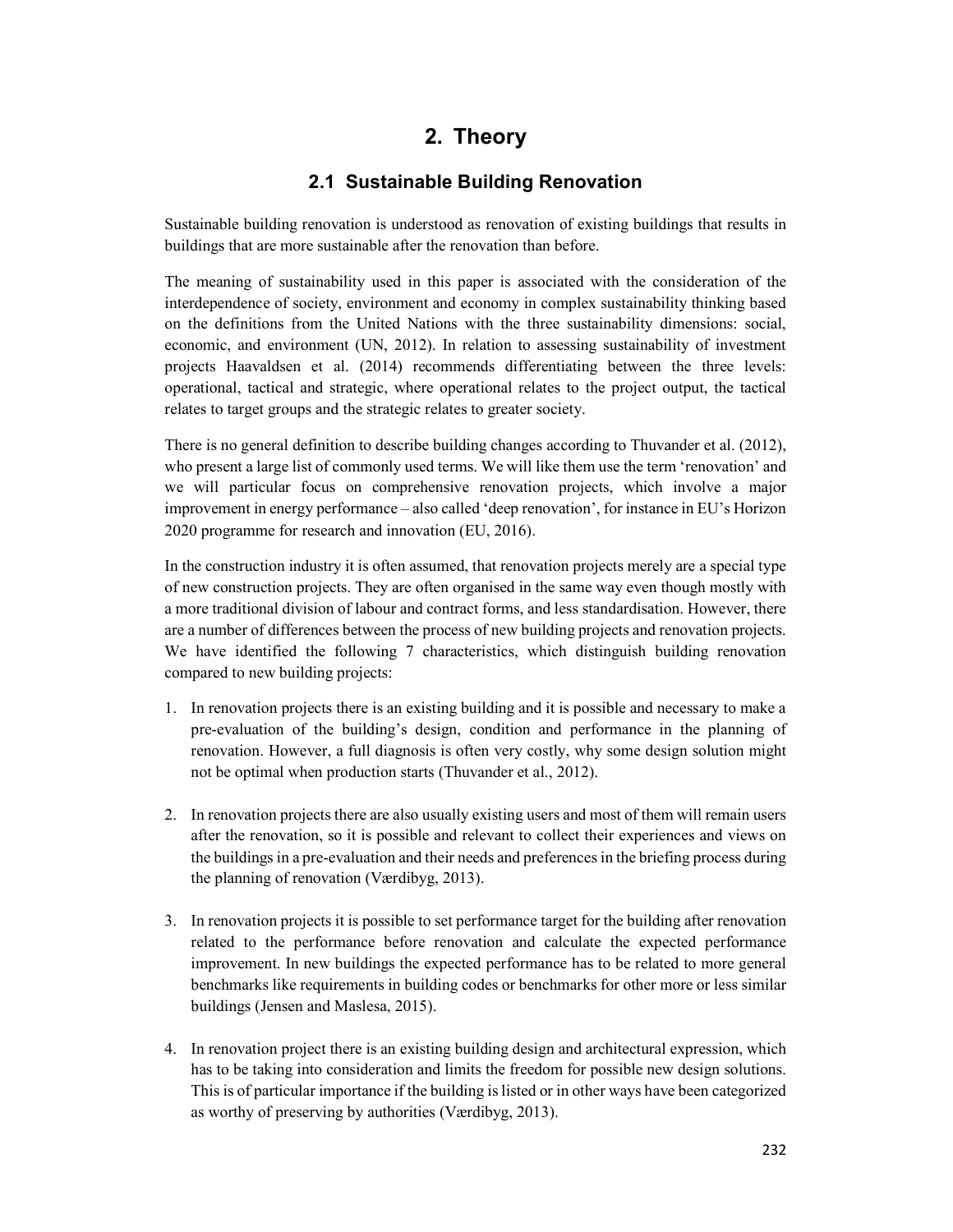## 2. Theory

#### 2.1 Sustainable Building Renovation

Sustainable building renovation is understood as renovation of existing buildings that results in buildings that are more sustainable after the renovation than before.

The meaning of sustainability used in this paper is associated with the consideration of the interdependence of society, environment and economy in complex sustainability thinking based on the definitions from the United Nations with the three sustainability dimensions: social, economic, and environment (UN, 2012). In relation to assessing sustainability of investment projects Haavaldsen et al. (2014) recommends differentiating between the three levels: operational, tactical and strategic, where operational relates to the project output, the tactical relates to target groups and the strategic relates to greater society.

There is no general definition to describe building changes according to Thuvander et al. (2012), who present a large list of commonly used terms. We will like them use the term 'renovation' and we will particular focus on comprehensive renovation projects, which involve a major improvement in energy performance – also called 'deep renovation', for instance in EU's Horizon 2020 programme for research and innovation (EU, 2016).

In the construction industry it is often assumed, that renovation projects merely are a special type of new construction projects. They are often organised in the same way even though mostly with a more traditional division of labour and contract forms, and less standardisation. However, there are a number of differences between the process of new building projects and renovation projects. We have identified the following 7 characteristics, which distinguish building renovation compared to new building projects:

- 1. In renovation projects there is an existing building and it is possible and necessary to make a pre-evaluation of the building's design, condition and performance in the planning of renovation. However, a full diagnosis is often very costly, why some design solution might not be optimal when production starts (Thuvander et al., 2012).
- 2. In renovation projects there are also usually existing users and most of them will remain users after the renovation, so it is possible and relevant to collect their experiences and views on the buildings in a pre-evaluation and their needs and preferences in the briefing process during the planning of renovation (Værdibyg, 2013).
- 3. In renovation projects it is possible to set performance target for the building after renovation related to the performance before renovation and calculate the expected performance improvement. In new buildings the expected performance has to be related to more general benchmarks like requirements in building codes or benchmarks for other more or less similar buildings (Jensen and Maslesa, 2015).
- 4. In renovation project there is an existing building design and architectural expression, which has to be taking into consideration and limits the freedom for possible new design solutions. This is of particular importance if the building is listed or in other ways have been categorized as worthy of preserving by authorities (Værdibyg, 2013).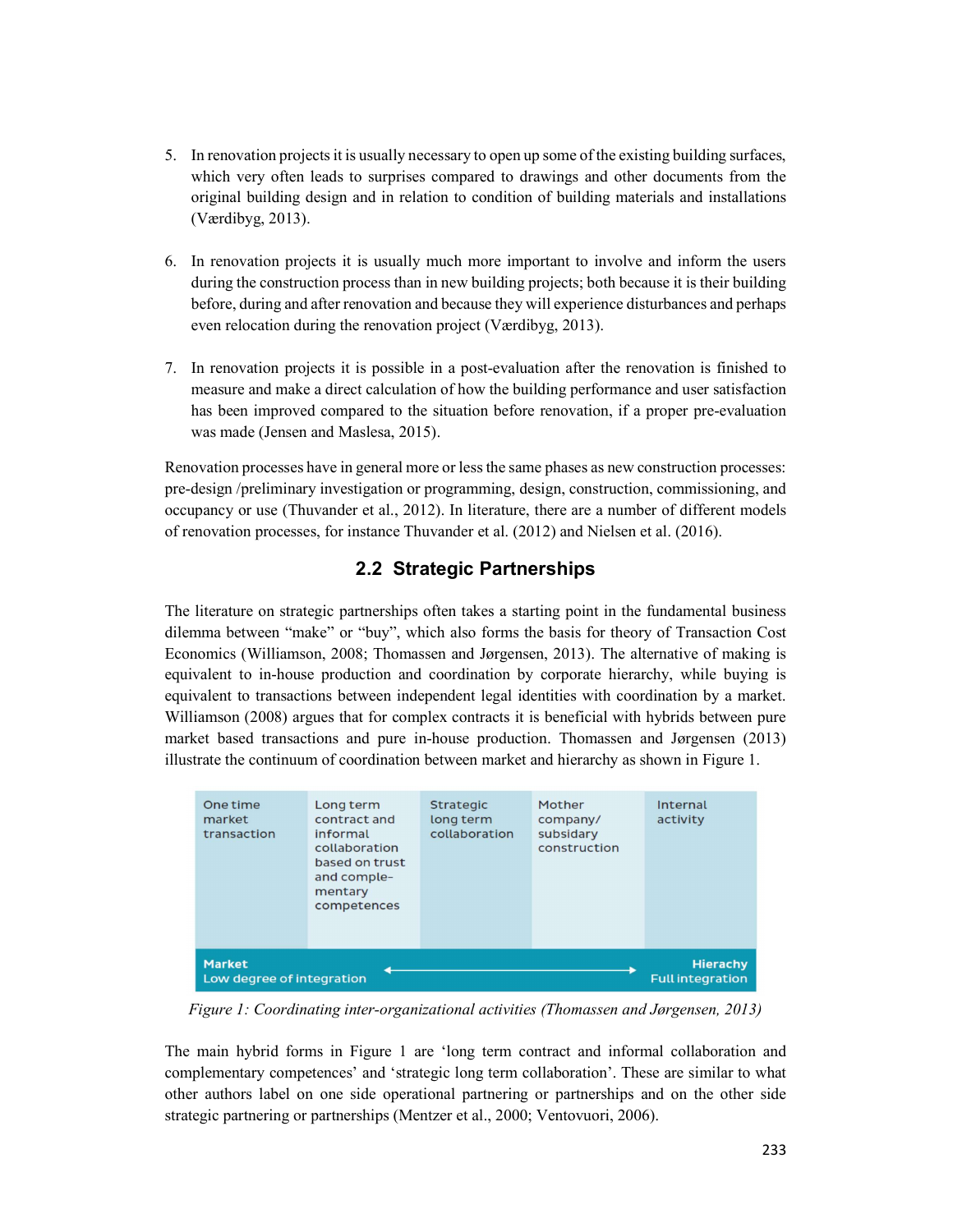- 5. In renovation projects it is usually necessary to open up some of the existing building surfaces, which very often leads to surprises compared to drawings and other documents from the original building design and in relation to condition of building materials and installations (Værdibyg, 2013).
- 6. In renovation projects it is usually much more important to involve and inform the users during the construction process than in new building projects; both because it is their building before, during and after renovation and because they will experience disturbances and perhaps even relocation during the renovation project (Værdibyg, 2013).
- 7. In renovation projects it is possible in a post-evaluation after the renovation is finished to measure and make a direct calculation of how the building performance and user satisfaction has been improved compared to the situation before renovation, if a proper pre-evaluation was made (Jensen and Maslesa, 2015).

Renovation processes have in general more or less the same phases as new construction processes: pre-design /preliminary investigation or programming, design, construction, commissioning, and occupancy or use (Thuvander et al., 2012). In literature, there are a number of different models of renovation processes, for instance Thuvander et al. (2012) and Nielsen et al. (2016).

### 2.2 Strategic Partnerships

The literature on strategic partnerships often takes a starting point in the fundamental business dilemma between "make" or "buy", which also forms the basis for theory of Transaction Cost Economics (Williamson, 2008; Thomassen and Jørgensen, 2013). The alternative of making is equivalent to in-house production and coordination by corporate hierarchy, while buying is equivalent to transactions between independent legal identities with coordination by a market. Williamson (2008) argues that for complex contracts it is beneficial with hybrids between pure market based transactions and pure in-house production. Thomassen and Jørgensen (2013) illustrate the continuum of coordination between market and hierarchy as shown in Figure 1.

|                           | One time<br>market<br>transaction | Long term<br>contract and<br>informal<br>collaboration<br>based on trust<br>and comple-<br>mentary<br>competences | <b>Strategic</b><br>long term<br>collaboration | Mother<br>company/<br>subsidary<br>construction | Internal<br>activity    |
|---------------------------|-----------------------------------|-------------------------------------------------------------------------------------------------------------------|------------------------------------------------|-------------------------------------------------|-------------------------|
| <b>Market</b>             |                                   |                                                                                                                   |                                                |                                                 | <b>Hierachy</b>         |
| Low degree of integration |                                   |                                                                                                                   |                                                |                                                 | <b>Full integration</b> |

Figure 1: Coordinating inter-organizational activities (Thomassen and Jørgensen, 2013)

The main hybrid forms in Figure 1 are 'long term contract and informal collaboration and complementary competences' and 'strategic long term collaboration'. These are similar to what other authors label on one side operational partnering or partnerships and on the other side strategic partnering or partnerships (Mentzer et al., 2000; Ventovuori, 2006).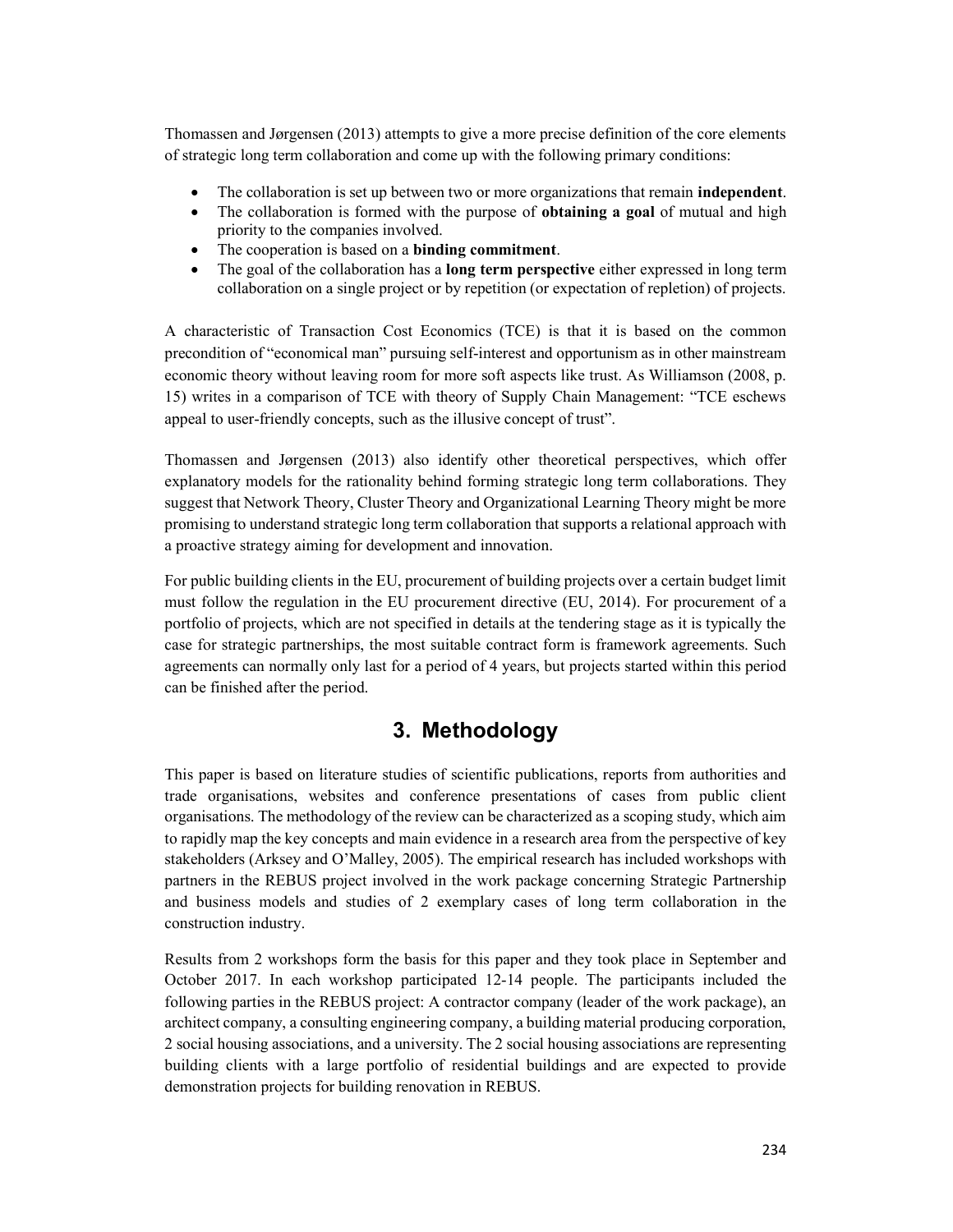Thomassen and Jørgensen (2013) attempts to give a more precise definition of the core elements of strategic long term collaboration and come up with the following primary conditions:

- The collaboration is set up between two or more organizations that remain independent.
- The collaboration is formed with the purpose of **obtaining a goal** of mutual and high priority to the companies involved.
- The cooperation is based on a **binding commitment**.
- The goal of the collaboration has a long term perspective either expressed in long term collaboration on a single project or by repetition (or expectation of repletion) of projects.

A characteristic of Transaction Cost Economics (TCE) is that it is based on the common precondition of "economical man" pursuing self-interest and opportunism as in other mainstream economic theory without leaving room for more soft aspects like trust. As Williamson (2008, p. 15) writes in a comparison of TCE with theory of Supply Chain Management: "TCE eschews appeal to user-friendly concepts, such as the illusive concept of trust".

Thomassen and Jørgensen (2013) also identify other theoretical perspectives, which offer explanatory models for the rationality behind forming strategic long term collaborations. They suggest that Network Theory, Cluster Theory and Organizational Learning Theory might be more promising to understand strategic long term collaboration that supports a relational approach with a proactive strategy aiming for development and innovation.

For public building clients in the EU, procurement of building projects over a certain budget limit must follow the regulation in the EU procurement directive (EU, 2014). For procurement of a portfolio of projects, which are not specified in details at the tendering stage as it is typically the case for strategic partnerships, the most suitable contract form is framework agreements. Such agreements can normally only last for a period of 4 years, but projects started within this period can be finished after the period.

## 3. Methodology

This paper is based on literature studies of scientific publications, reports from authorities and trade organisations, websites and conference presentations of cases from public client organisations. The methodology of the review can be characterized as a scoping study, which aim to rapidly map the key concepts and main evidence in a research area from the perspective of key stakeholders (Arksey and O'Malley, 2005). The empirical research has included workshops with partners in the REBUS project involved in the work package concerning Strategic Partnership and business models and studies of 2 exemplary cases of long term collaboration in the construction industry.

Results from 2 workshops form the basis for this paper and they took place in September and October 2017. In each workshop participated 12-14 people. The participants included the following parties in the REBUS project: A contractor company (leader of the work package), an architect company, a consulting engineering company, a building material producing corporation, 2 social housing associations, and a university. The 2 social housing associations are representing building clients with a large portfolio of residential buildings and are expected to provide demonstration projects for building renovation in REBUS.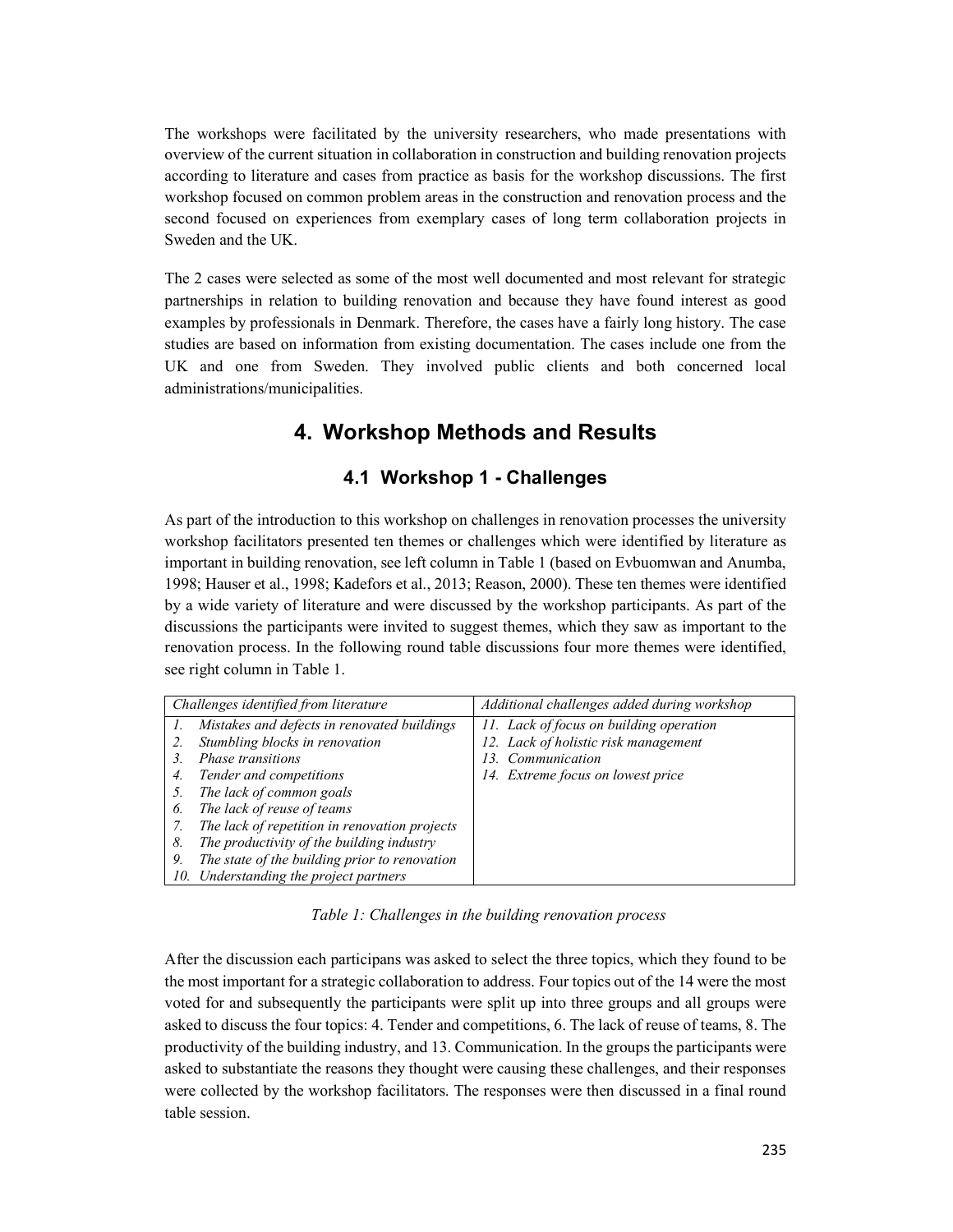The workshops were facilitated by the university researchers, who made presentations with overview of the current situation in collaboration in construction and building renovation projects according to literature and cases from practice as basis for the workshop discussions. The first workshop focused on common problem areas in the construction and renovation process and the second focused on experiences from exemplary cases of long term collaboration projects in Sweden and the UK.

The 2 cases were selected as some of the most well documented and most relevant for strategic partnerships in relation to building renovation and because they have found interest as good examples by professionals in Denmark. Therefore, the cases have a fairly long history. The case studies are based on information from existing documentation. The cases include one from the UK and one from Sweden. They involved public clients and both concerned local administrations/municipalities.

## 4. Workshop Methods and Results

#### 4.1 Workshop 1 - Challenges

As part of the introduction to this workshop on challenges in renovation processes the university workshop facilitators presented ten themes or challenges which were identified by literature as important in building renovation, see left column in Table 1 (based on Evbuomwan and Anumba, 1998; Hauser et al., 1998; Kadefors et al., 2013; Reason, 2000). These ten themes were identified by a wide variety of literature and were discussed by the workshop participants. As part of the discussions the participants were invited to suggest themes, which they saw as important to the renovation process. In the following round table discussions four more themes were identified, see right column in Table 1.

|    | Challenges identified from literature         | Additional challenges added during workshop |  |
|----|-----------------------------------------------|---------------------------------------------|--|
|    | Mistakes and defects in renovated buildings   | 11. Lack of focus on building operation     |  |
|    | Stumbling blocks in renovation                | 12. Lack of holistic risk management        |  |
|    | <i>Phase transitions</i>                      | 13. Communication                           |  |
| 4. | Tender and competitions                       | 14. Extreme focus on lowest price           |  |
|    | The lack of common goals                      |                                             |  |
| O. | The lack of reuse of teams                    |                                             |  |
|    | The lack of repetition in renovation projects |                                             |  |
| 8. | The productivity of the building industry     |                                             |  |
| 9. | The state of the building prior to renovation |                                             |  |
|    | 10. Understanding the project partners        |                                             |  |

Table 1: Challenges in the building renovation process

After the discussion each participans was asked to select the three topics, which they found to be the most important for a strategic collaboration to address. Four topics out of the 14 were the most voted for and subsequently the participants were split up into three groups and all groups were asked to discuss the four topics: 4. Tender and competitions, 6. The lack of reuse of teams, 8. The productivity of the building industry, and 13. Communication. In the groups the participants were asked to substantiate the reasons they thought were causing these challenges, and their responses were collected by the workshop facilitators. The responses were then discussed in a final round table session.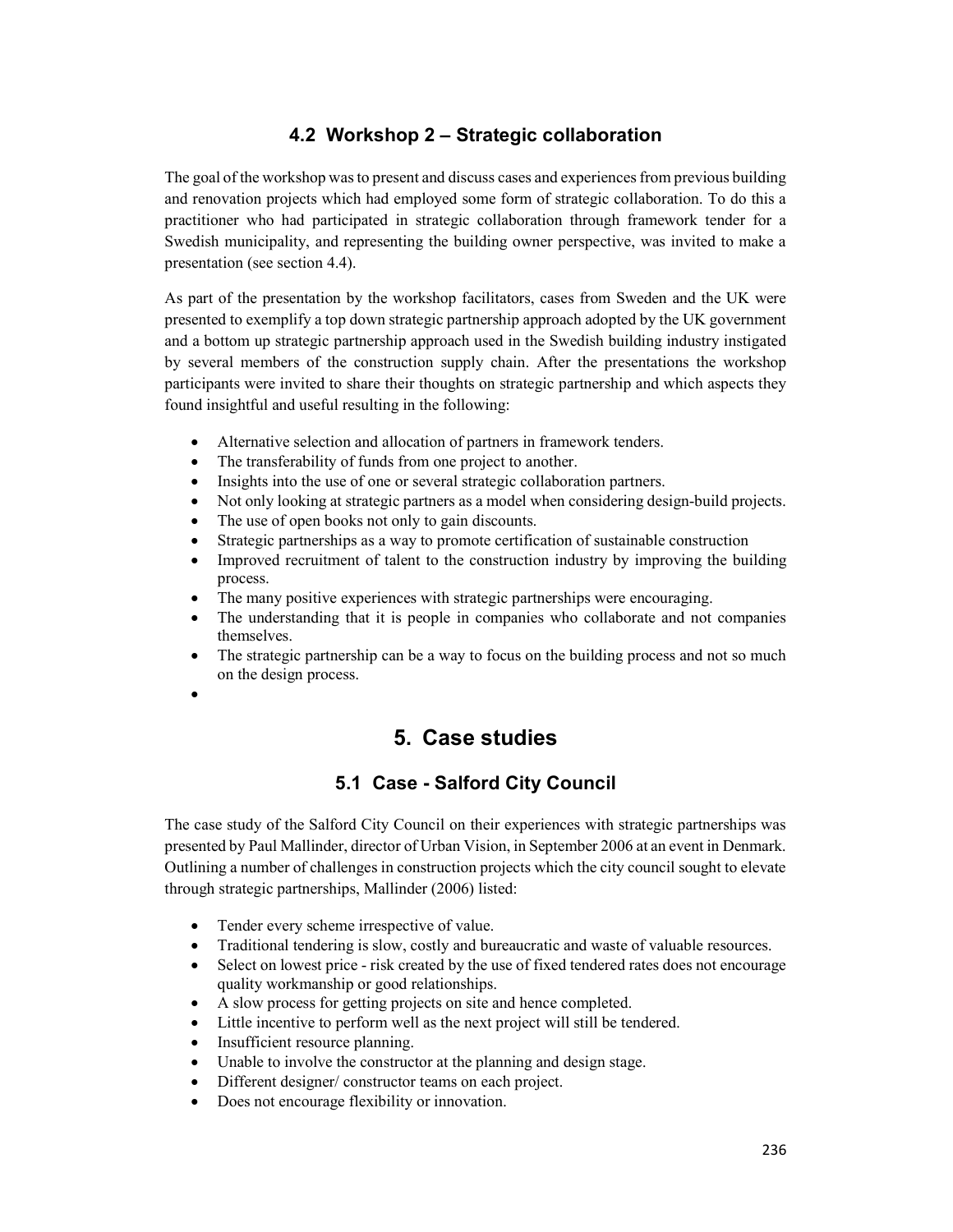### 4.2 Workshop 2 – Strategic collaboration

The goal of the workshop was to present and discuss cases and experiences from previous building and renovation projects which had employed some form of strategic collaboration. To do this a practitioner who had participated in strategic collaboration through framework tender for a Swedish municipality, and representing the building owner perspective, was invited to make a presentation (see section 4.4).

As part of the presentation by the workshop facilitators, cases from Sweden and the UK were presented to exemplify a top down strategic partnership approach adopted by the UK government and a bottom up strategic partnership approach used in the Swedish building industry instigated by several members of the construction supply chain. After the presentations the workshop participants were invited to share their thoughts on strategic partnership and which aspects they found insightful and useful resulting in the following:

- Alternative selection and allocation of partners in framework tenders.
- The transferability of funds from one project to another.
- Insights into the use of one or several strategic collaboration partners.
- Not only looking at strategic partners as a model when considering design-build projects.
- The use of open books not only to gain discounts.
- Strategic partnerships as a way to promote certification of sustainable construction
- Improved recruitment of talent to the construction industry by improving the building process.
- The many positive experiences with strategic partnerships were encouraging.
- The understanding that it is people in companies who collaborate and not companies themselves.
- The strategic partnership can be a way to focus on the building process and not so much on the design process.
- $\bullet$

## 5. Case studies

#### 5.1 Case - Salford City Council

The case study of the Salford City Council on their experiences with strategic partnerships was presented by Paul Mallinder, director of Urban Vision, in September 2006 at an event in Denmark. Outlining a number of challenges in construction projects which the city council sought to elevate through strategic partnerships, Mallinder (2006) listed:

- Tender every scheme irrespective of value.
- Traditional tendering is slow, costly and bureaucratic and waste of valuable resources.
- Select on lowest price risk created by the use of fixed tendered rates does not encourage quality workmanship or good relationships.
- A slow process for getting projects on site and hence completed.
- Little incentive to perform well as the next project will still be tendered.
- Insufficient resource planning.
- Unable to involve the constructor at the planning and design stage.
- Different designer/ constructor teams on each project.
- Does not encourage flexibility or innovation.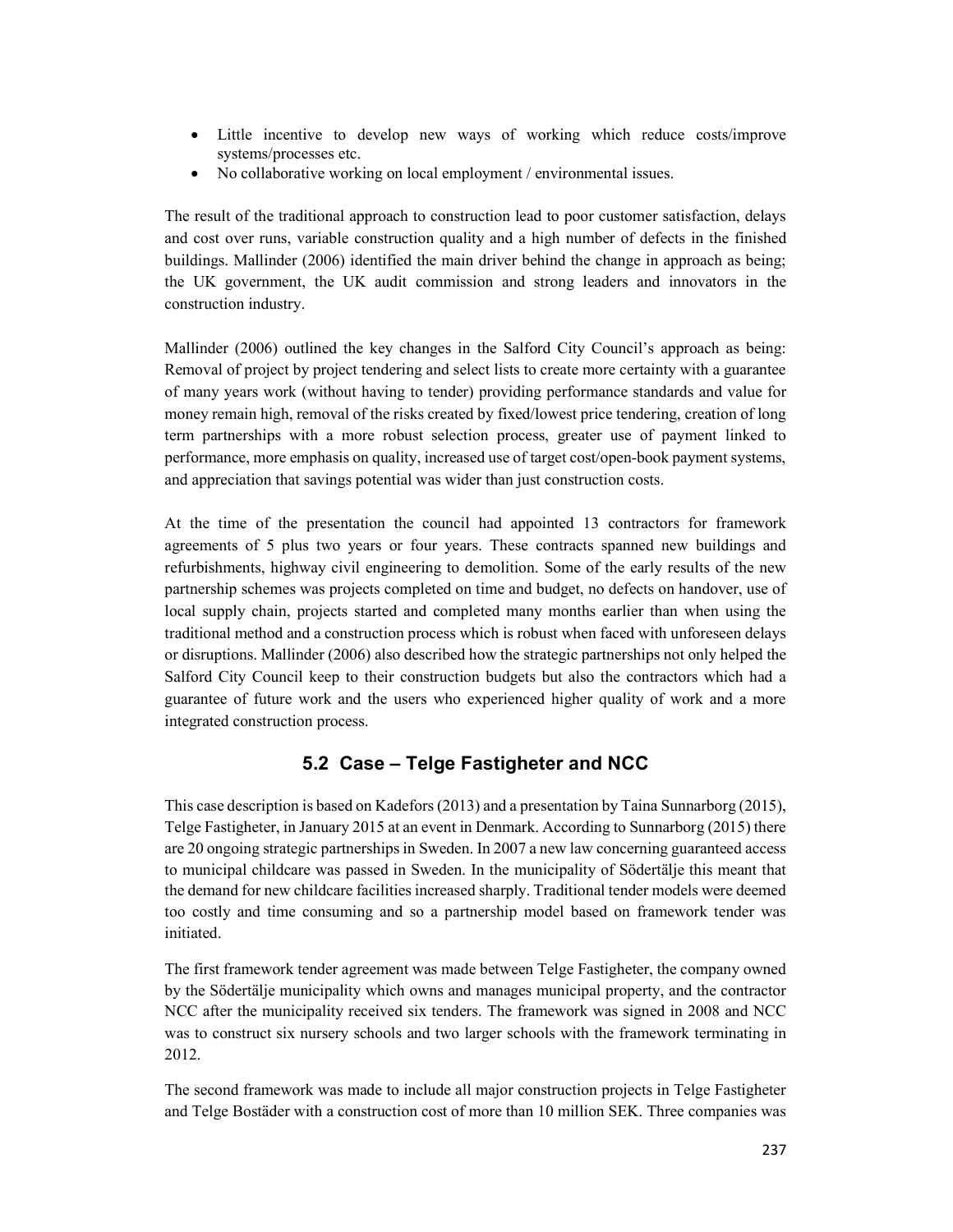- Little incentive to develop new ways of working which reduce costs/improve systems/processes etc.
- No collaborative working on local employment / environmental issues.

The result of the traditional approach to construction lead to poor customer satisfaction, delays and cost over runs, variable construction quality and a high number of defects in the finished buildings. Mallinder (2006) identified the main driver behind the change in approach as being; the UK government, the UK audit commission and strong leaders and innovators in the construction industry.

Mallinder (2006) outlined the key changes in the Salford City Council's approach as being: Removal of project by project tendering and select lists to create more certainty with a guarantee of many years work (without having to tender) providing performance standards and value for money remain high, removal of the risks created by fixed/lowest price tendering, creation of long term partnerships with a more robust selection process, greater use of payment linked to performance, more emphasis on quality, increased use of target cost/open-book payment systems, and appreciation that savings potential was wider than just construction costs.

At the time of the presentation the council had appointed 13 contractors for framework agreements of 5 plus two years or four years. These contracts spanned new buildings and refurbishments, highway civil engineering to demolition. Some of the early results of the new partnership schemes was projects completed on time and budget, no defects on handover, use of local supply chain, projects started and completed many months earlier than when using the traditional method and a construction process which is robust when faced with unforeseen delays or disruptions. Mallinder (2006) also described how the strategic partnerships not only helped the Salford City Council keep to their construction budgets but also the contractors which had a guarantee of future work and the users who experienced higher quality of work and a more integrated construction process.

#### 5.2 Case – Telge Fastigheter and NCC

This case description is based on Kadefors (2013) and a presentation by Taina Sunnarborg (2015), Telge Fastigheter, in January 2015 at an event in Denmark. According to Sunnarborg (2015) there are 20 ongoing strategic partnerships in Sweden. In 2007 a new law concerning guaranteed access to municipal childcare was passed in Sweden. In the municipality of Södertälje this meant that the demand for new childcare facilities increased sharply. Traditional tender models were deemed too costly and time consuming and so a partnership model based on framework tender was initiated.

The first framework tender agreement was made between Telge Fastigheter, the company owned by the Södertälje municipality which owns and manages municipal property, and the contractor NCC after the municipality received six tenders. The framework was signed in 2008 and NCC was to construct six nursery schools and two larger schools with the framework terminating in 2012.

The second framework was made to include all major construction projects in Telge Fastigheter and Telge Bostäder with a construction cost of more than 10 million SEK. Three companies was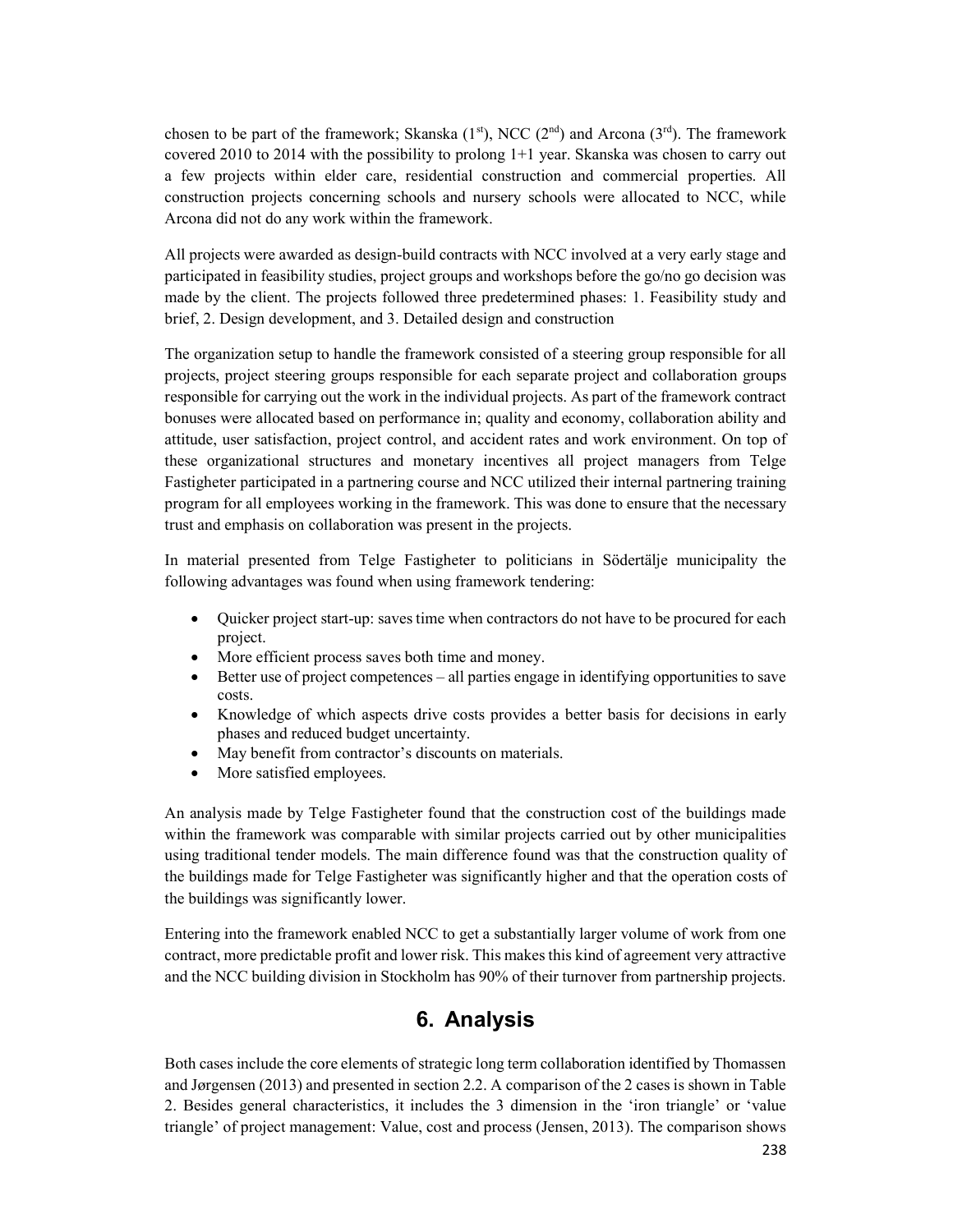chosen to be part of the framework; Skanska  $(1<sup>st</sup>)$ , NCC  $(2<sup>nd</sup>)$  and Arcona  $(3<sup>rd</sup>)$ . The framework covered 2010 to 2014 with the possibility to prolong 1+1 year. Skanska was chosen to carry out a few projects within elder care, residential construction and commercial properties. All construction projects concerning schools and nursery schools were allocated to NCC, while Arcona did not do any work within the framework.

All projects were awarded as design-build contracts with NCC involved at a very early stage and participated in feasibility studies, project groups and workshops before the go/no go decision was made by the client. The projects followed three predetermined phases: 1. Feasibility study and brief, 2. Design development, and 3. Detailed design and construction

The organization setup to handle the framework consisted of a steering group responsible for all projects, project steering groups responsible for each separate project and collaboration groups responsible for carrying out the work in the individual projects. As part of the framework contract bonuses were allocated based on performance in; quality and economy, collaboration ability and attitude, user satisfaction, project control, and accident rates and work environment. On top of these organizational structures and monetary incentives all project managers from Telge Fastigheter participated in a partnering course and NCC utilized their internal partnering training program for all employees working in the framework. This was done to ensure that the necessary trust and emphasis on collaboration was present in the projects.

In material presented from Telge Fastigheter to politicians in Södertälje municipality the following advantages was found when using framework tendering:

- Quicker project start-up: saves time when contractors do not have to be procured for each project.
- More efficient process saves both time and money.
- Better use of project competences all parties engage in identifying opportunities to save costs.
- Knowledge of which aspects drive costs provides a better basis for decisions in early phases and reduced budget uncertainty.
- May benefit from contractor's discounts on materials.
- More satisfied employees.

An analysis made by Telge Fastigheter found that the construction cost of the buildings made within the framework was comparable with similar projects carried out by other municipalities using traditional tender models. The main difference found was that the construction quality of the buildings made for Telge Fastigheter was significantly higher and that the operation costs of the buildings was significantly lower.

Entering into the framework enabled NCC to get a substantially larger volume of work from one contract, more predictable profit and lower risk. This makes this kind of agreement very attractive and the NCC building division in Stockholm has 90% of their turnover from partnership projects.

### 6. Analysis

Both cases include the core elements of strategic long term collaboration identified by Thomassen and Jørgensen (2013) and presented in section 2.2. A comparison of the 2 cases is shown in Table 2. Besides general characteristics, it includes the 3 dimension in the 'iron triangle' or 'value triangle' of project management: Value, cost and process (Jensen, 2013). The comparison shows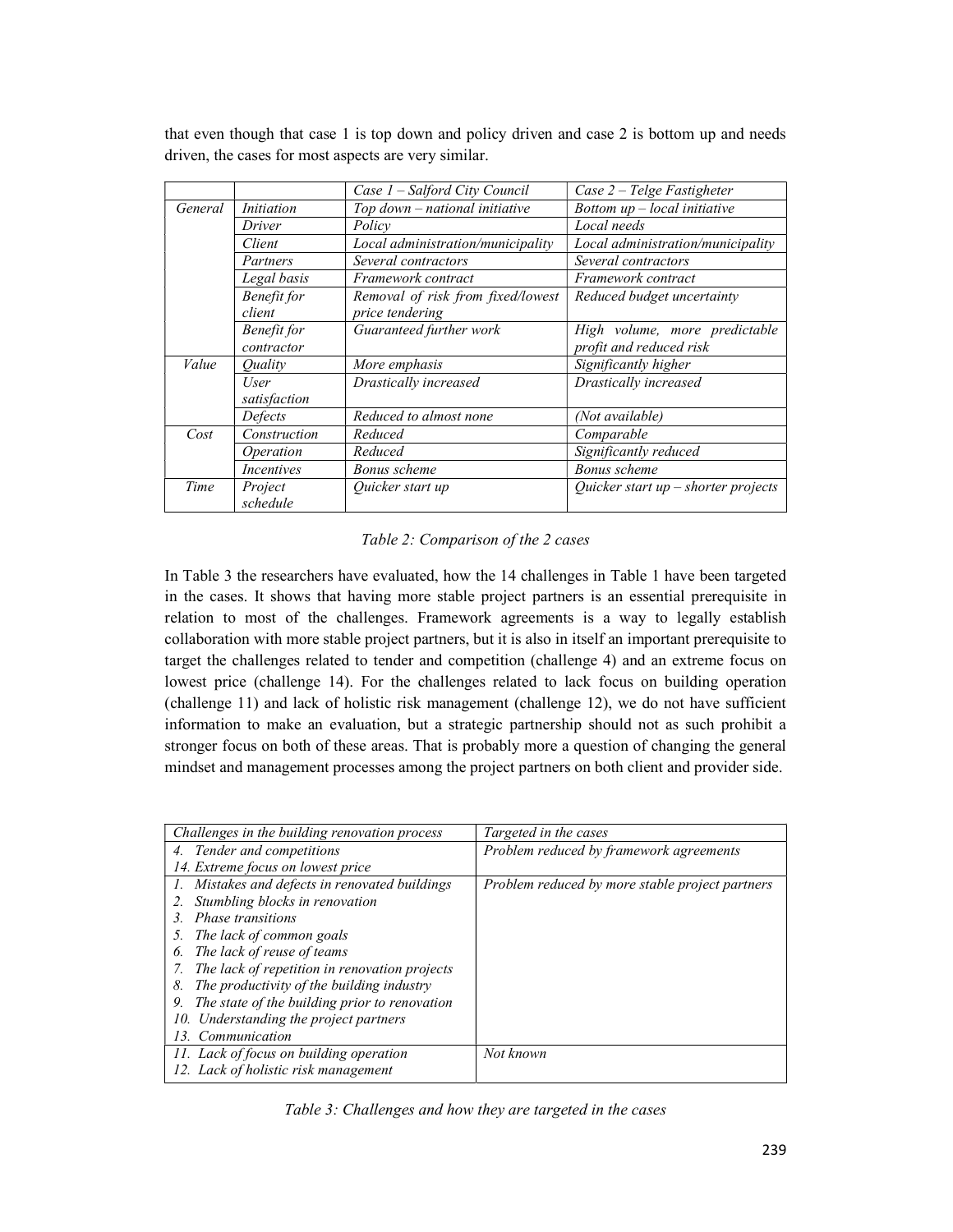|         |                    | Case 1 – Salford City Council     | Case $2$ – Telge Fastigheter          |
|---------|--------------------|-----------------------------------|---------------------------------------|
| General | <i>Initiation</i>  | Top down - national initiative    | Bottom $up$ – local initiative        |
|         | Driver             | Policy                            | Local needs                           |
|         | Client             | Local administration/municipality | Local administration/municipality     |
|         | Partners           | Several contractors               | Several contractors                   |
|         | Legal basis        | Framework contract                | Framework contract                    |
|         | <b>Benefit</b> for | Removal of risk from fixed/lowest | Reduced budget uncertainty            |
|         | client             | price tendering                   |                                       |
|         | Benefit for        | Guaranteed further work           | High volume, more predictable         |
|         | contractor         |                                   | profit and reduced risk               |
| Value   | Ouality            | More emphasis                     | Significantly higher                  |
|         | User               | Drastically increased             | Drastically increased                 |
|         | satisfaction       |                                   |                                       |
|         | Defects            | Reduced to almost none            | (Not available)                       |
| Cost    | Construction       | Reduced                           | Comparable                            |
|         | <i>Operation</i>   | Reduced                           | Significantly reduced                 |
|         | <i>Incentives</i>  | Bonus scheme                      | Bonus scheme                          |
| Time    | Project            | Quicker start up                  | Quicker start $up$ – shorter projects |
|         | schedule           |                                   |                                       |

that even though that case 1 is top down and policy driven and case 2 is bottom up and needs driven, the cases for most aspects are very similar.

#### Table 2: Comparison of the 2 cases

In Table 3 the researchers have evaluated, how the 14 challenges in Table 1 have been targeted in the cases. It shows that having more stable project partners is an essential prerequisite in relation to most of the challenges. Framework agreements is a way to legally establish collaboration with more stable project partners, but it is also in itself an important prerequisite to target the challenges related to tender and competition (challenge 4) and an extreme focus on lowest price (challenge 14). For the challenges related to lack focus on building operation (challenge 11) and lack of holistic risk management (challenge 12), we do not have sufficient information to make an evaluation, but a strategic partnership should not as such prohibit a stronger focus on both of these areas. That is probably more a question of changing the general mindset and management processes among the project partners on both client and provider side.

| Challenges in the building renovation process       | Targeted in the cases                           |
|-----------------------------------------------------|-------------------------------------------------|
| 4. Tender and competitions                          | Problem reduced by framework agreements         |
| 14. Extreme focus on lowest price                   |                                                 |
| 1. Mistakes and defects in renovated buildings      | Problem reduced by more stable project partners |
| Stumbling blocks in renovation                      |                                                 |
| <i>Phase transitions</i><br>3.                      |                                                 |
| The lack of common goals<br>5.                      |                                                 |
| The lack of reuse of teams<br>6.                    |                                                 |
| The lack of repetition in renovation projects       |                                                 |
| The productivity of the building industry<br>8.     |                                                 |
| The state of the building prior to renovation<br>9. |                                                 |
| 10. Understanding the project partners              |                                                 |
| 13. Communication                                   |                                                 |
| 11. Lack of focus on building operation             | Not known                                       |
| 12. Lack of holistic risk management                |                                                 |

Table 3: Challenges and how they are targeted in the cases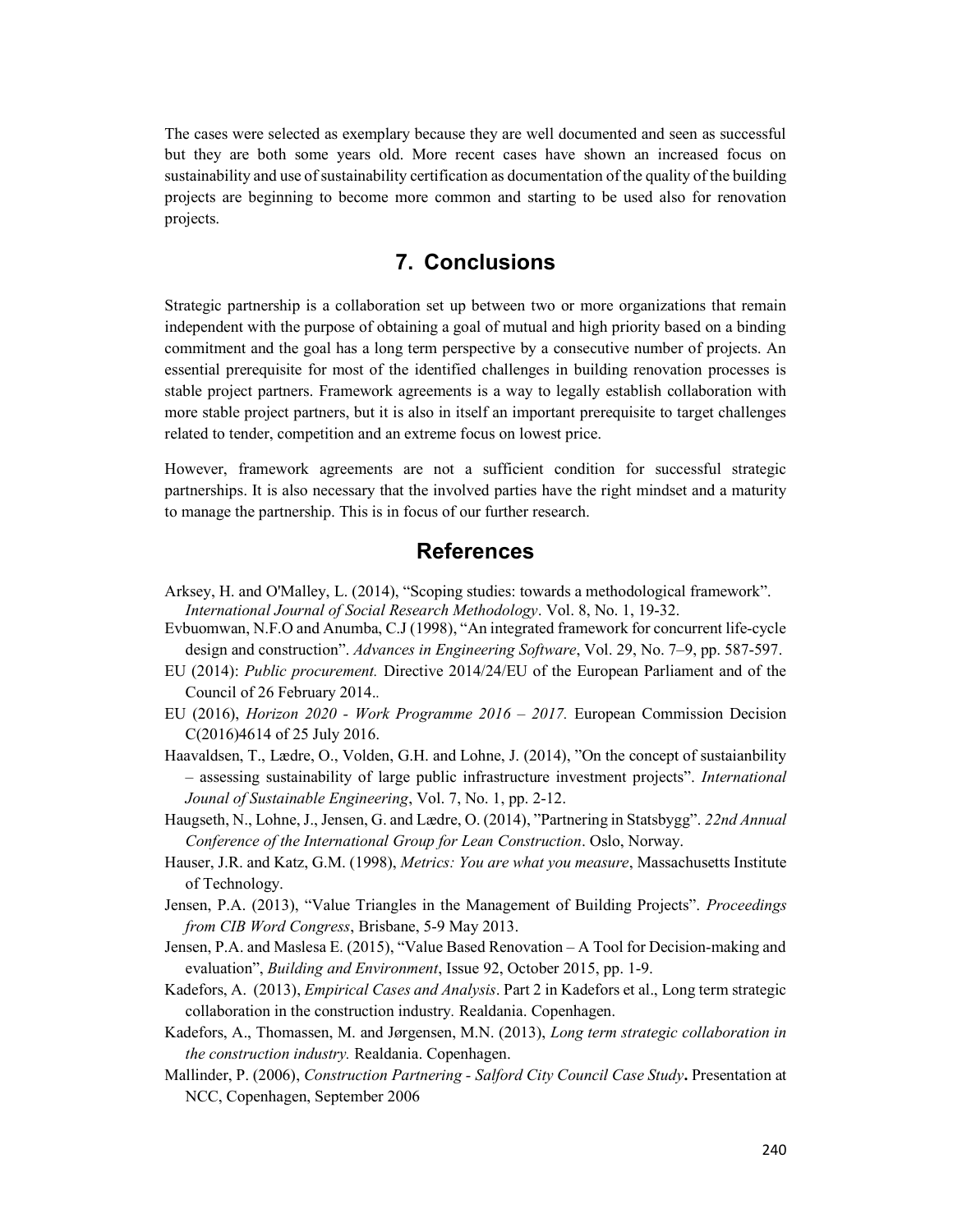The cases were selected as exemplary because they are well documented and seen as successful but they are both some years old. More recent cases have shown an increased focus on sustainability and use of sustainability certification as documentation of the quality of the building projects are beginning to become more common and starting to be used also for renovation projects.

### 7. Conclusions

Strategic partnership is a collaboration set up between two or more organizations that remain independent with the purpose of obtaining a goal of mutual and high priority based on a binding commitment and the goal has a long term perspective by a consecutive number of projects. An essential prerequisite for most of the identified challenges in building renovation processes is stable project partners. Framework agreements is a way to legally establish collaboration with more stable project partners, but it is also in itself an important prerequisite to target challenges related to tender, competition and an extreme focus on lowest price.

However, framework agreements are not a sufficient condition for successful strategic partnerships. It is also necessary that the involved parties have the right mindset and a maturity to manage the partnership. This is in focus of our further research.

### References

- Arksey, H. and O'Malley, L. (2014), "Scoping studies: towards a methodological framework". International Journal of Social Research Methodology. Vol. 8, No. 1, 19-32.
- Evbuomwan, N.F.O and Anumba, C.J (1998), "An integrated framework for concurrent life-cycle design and construction". Advances in Engineering Software, Vol. 29, No. 7–9, pp. 587-597.
- EU (2014): Public procurement. Directive 2014/24/EU of the European Parliament and of the Council of 26 February 2014..
- EU (2016), Horizon 2020 Work Programme 2016 2017. European Commission Decision C(2016)4614 of 25 July 2016.
- Haavaldsen, T., Lædre, O., Volden, G.H. and Lohne, J. (2014), "On the concept of sustaianbility – assessing sustainability of large public infrastructure investment projects". International Jounal of Sustainable Engineering, Vol. 7, No. 1, pp. 2-12.
- Haugseth, N., Lohne, J., Jensen, G. and Lædre, O. (2014), "Partnering in Statsbygg". 22nd Annual Conference of the International Group for Lean Construction. Oslo, Norway.
- Hauser, J.R. and Katz, G.M. (1998), Metrics: You are what you measure, Massachusetts Institute of Technology.
- Jensen, P.A. (2013), "Value Triangles in the Management of Building Projects". Proceedings from CIB Word Congress, Brisbane, 5-9 May 2013.
- Jensen, P.A. and Maslesa E. (2015), "Value Based Renovation A Tool for Decision-making and evaluation", Building and Environment, Issue 92, October 2015, pp. 1-9.
- Kadefors, A. (2013), *Empirical Cases and Analysis*. Part 2 in Kadefors et al., Long term strategic collaboration in the construction industry. Realdania. Copenhagen.
- Kadefors, A., Thomassen, M. and Jørgensen, M.N. (2013), Long term strategic collaboration in the construction industry. Realdania. Copenhagen.
- Mallinder, P. (2006), Construction Partnering Salford City Council Case Study. Presentation at NCC, Copenhagen, September 2006